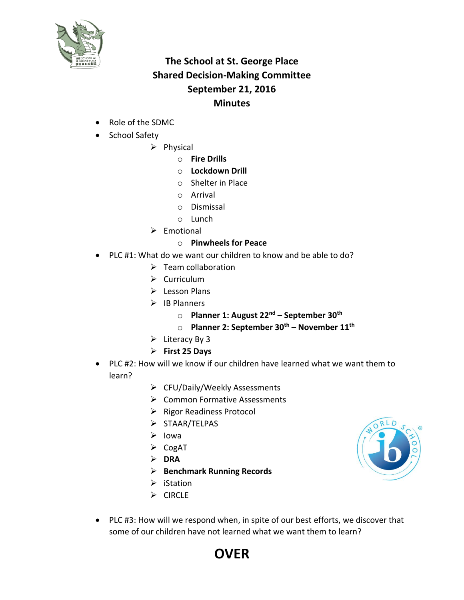

## **The School at St. George Place Shared Decision-Making Committee September 21, 2016 Minutes**

- Role of the SDMC
- School Safety
	- $\triangleright$  Physical
		- o **Fire Drills**
		- o **Lockdown Drill**
		- o Shelter in Place
		- o Arrival
		- o Dismissal
		- o Lunch
	- $\triangleright$  Emotional
		- o **Pinwheels for Peace**
- PLC #1: What do we want our children to know and be able to do?
	- $\triangleright$  Team collaboration
	- $\triangleright$  Curriculum
	- $\triangleright$  Lesson Plans
	- $\triangleright$  IB Planners
		- o **Planner 1: August 22nd – September 30th**
		- o **Planner 2: September 30th – November 11th**
	- $\triangleright$  Literacy By 3
	- **First 25 Days**
- PLC #2: How will we know if our children have learned what we want them to learn?
	- CFU/Daily/Weekly Assessments
	- **▶ Common Formative Assessments**
	- $\triangleright$  Rigor Readiness Protocol
	- $\triangleright$  STAAR/TELPAS
	- $\triangleright$  Iowa
	- $\triangleright$  CogAT
	- **DRA**
	- **Benchmark Running Records**
	- $\triangleright$  iStation
	- $\triangleright$  CIRCLE
- 
- PLC #3: How will we respond when, in spite of our best efforts, we discover that some of our children have not learned what we want them to learn?